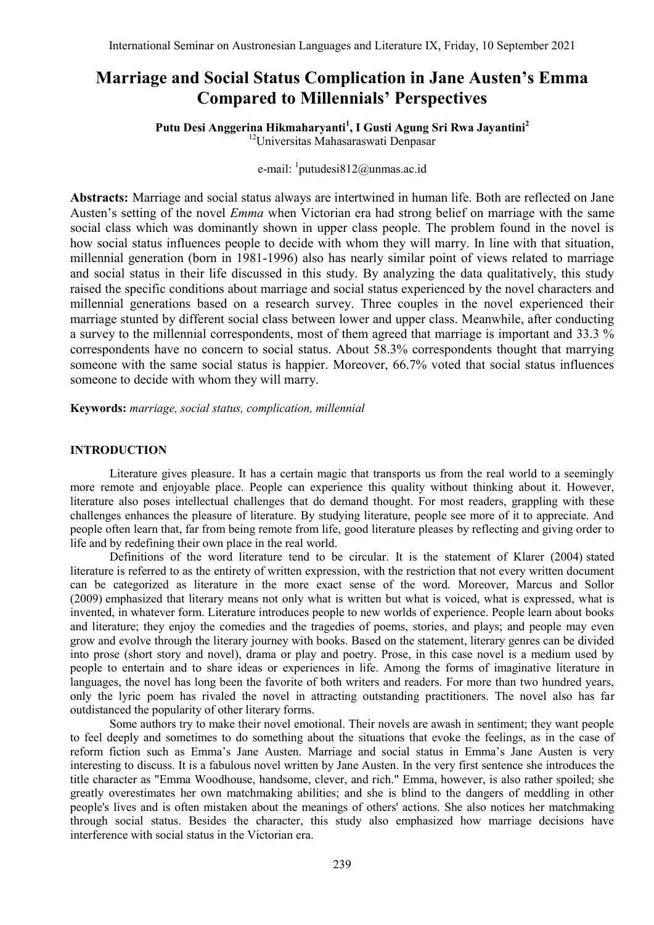# **Marriage and Social Status Complication in Jane Austen's Emma Compared to Millennials' Perspectives**

**Putu Desi Anggerina Hikmaharyanti<sup>1</sup> , I Gusti Agung Sri Rwa Jayantini<sup>2</sup>** <sup>12</sup>Universitas Mahasaraswati Denpasar

e-mail: <sup>1</sup>[putudesi812@unmas.ac.id](mailto:putudesi812@unmas.ac.id)

**Abstracts:** Marriage and social status always are intertwined in human life. Both are reflected on Jane Austen's setting of the novel *Emma* when Victorian era had strong belief on marriage with the same social class which was dominantly shown in upper class people. The problem found in the novel is how social status influences people to decide with whom they will marry. In line with that situation, millennial generation (born in 1981-1996) also has nearly similar point of views related to marriage and social status in their life discussed in this study. By analyzing the data qualitatively, this study raised the specific conditions about marriage and social status experienced by the novel characters and millennial generations based on a research survey. Three couples in the novel experienced their marriage stunted by different social class between lower and upper class. Meanwhile, after conducting a survey to the millennial correspondents, most of them agreed that marriage is important and 33.3 % correspondents have no concern to social status. About 58.3% correspondents thought that marrying someone with the same social status is happier. Moreover, 66.7% voted that social status influences someone to decide with whom they will marry.

**Keywords:** *marriage, social status, complication, millennial*

## **INTRODUCTION**

Literature gives pleasure. It has a certain magic that transports us from the real world to a seemingly more remote and enjoyable place. People can experience this quality without thinking about it. However, literature also poses intellectual challenges that do demand thought. For most readers, grappling with these challenges enhances the pleasure of literature. By studying literature, people see more of it to appreciate. And people often learn that, far from being remote from life, good literature pleases by reflecting and giving order to life and by redefining their own place in the real world.

Definitions of the word literature tend to be circular. It is the statement of Klarer (2004) stated literature is referred to as the entirety of written expression, with the restriction that not every written document can be categorized as literature in the more exact sense of the word. Moreover, Marcus and Sollor (2009) emphasized that literary means not only what is written but what is voiced, what is expressed, what is invented, in whatever form. Literature introduces people to new worlds of experience. People learn about books and literature; they enjoy the comedies and the tragedies of poems, stories, and plays; and people may even grow and evolve through the literary journey with books. Based on the statement, literary genres can be divided into prose (short story and novel), drama or play and poetry. Prose, in this case novel is a medium used by people to entertain and to share ideas or experiences in life. Among the forms of imaginative literature in languages, the novel has long been the favorite of both writers and readers. For more than two hundred years, only the lyric poem has rivaled the novel in attracting outstanding practitioners. The novel also has far outdistanced the popularity of other literary forms.

Some authors try to make their novel emotional. Their novels are awash in sentiment; they want people to feel deeply and sometimes to do something about the situations that evoke the feelings, as in the case of reform fiction such as Emma's Jane Austen. Marriage and social status in Emma's Jane Austen is very interesting to discuss. It is a fabulous novel written by Jane Austen. In the very first sentence she introduces the title character as "Emma Woodhouse, handsome, clever, and rich." Emma, however, is also rather spoiled; she greatly overestimates her own matchmaking abilities; and she is blind to the dangers of meddling in other people's lives and is often mistaken about the meanings of others' actions. She also notices her matchmaking through social status. Besides the character, this study also emphasized how marriage decisions have interference with social status in the Victorian era.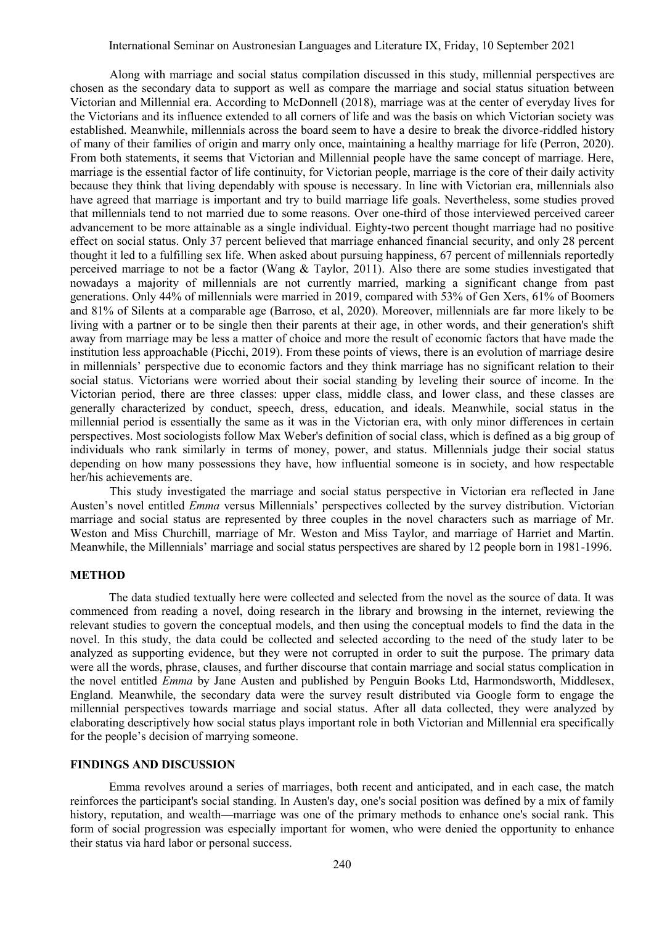Along with marriage and social status compilation discussed in this study, millennial perspectives are chosen as the secondary data to support as well as compare the marriage and social status situation between Victorian and Millennial era. According to McDonnell (2018), marriage was at the center of everyday lives for the Victorians and its influence extended to all corners of life and was the basis on which Victorian society was established. Meanwhile, millennials across the board seem to have a desire to break the divorce-riddled history of many of their families of origin and marry only once, maintaining a healthy marriage for life (Perron, 2020). From both statements, it seems that Victorian and Millennial people have the same concept of marriage. Here, marriage is the essential factor of life continuity, for Victorian people, marriage is the core of their daily activity because they think that living dependably with spouse is necessary. In line with Victorian era, millennials also have agreed that marriage is important and try to build marriage life goals. Nevertheless, some studies proved that millennials tend to not married due to some reasons. Over one-third of those interviewed perceived career advancement to be more attainable as a single individual. Eighty-two percent thought marriage had no positive effect on social status. Only 37 percent believed that marriage enhanced financial security, and only 28 percent thought it led to a fulfilling sex life. When asked about pursuing happiness, 67 percent of millennials reportedly perceived marriage to not be a factor (Wang & Taylor, 2011). Also there are some studies investigated that nowadays a majority of millennials are not currently married, marking a significant change from past generations. Only 44% of millennials were married in 2019, compared with 53% of Gen Xers, 61% of Boomers and 81% of Silents at a comparable age (Barroso, et al, 2020). Moreover, millennials are far more likely to be living with a partner or to be single then their parents at their age, in other words, and their generation's shift away from marriage may be less a matter of choice and more the result of economic factors that have made the institution less approachable (Picchi, 2019). From these points of views, there is an evolution of marriage desire in millennials' perspective due to economic factors and they think marriage has no significant relation to their social status. Victorians were worried about their social standing by leveling their source of income. In the Victorian period, there are three classes: upper class, middle class, and lower class, and these classes are generally characterized by conduct, speech, dress, education, and ideals. Meanwhile, social status in the millennial period is essentially the same as it was in the Victorian era, with only minor differences in certain perspectives. Most sociologists follow Max Weber's definition of social class, which is defined as a big group of individuals who rank similarly in terms of money, power, and status. Millennials judge their social status depending on how many possessions they have, how influential someone is in society, and how respectable her/his achievements are.

This study investigated the marriage and social status perspective in Victorian era reflected in Jane Austen's novel entitled *Emma* versus Millennials' perspectives collected by the survey distribution. Victorian marriage and social status are represented by three couples in the novel characters such as marriage of Mr. Weston and Miss Churchill, marriage of Mr. Weston and Miss Taylor, and marriage of Harriet and Martin. Meanwhile, the Millennials' marriage and social status perspectives are shared by 12 people born in 1981-1996.

## **METHOD**

The data studied textually here were collected and selected from the novel as the source of data. It was commenced from reading a novel, doing research in the library and browsing in the internet, reviewing the relevant studies to govern the conceptual models, and then using the conceptual models to find the data in the novel. In this study, the data could be collected and selected according to the need of the study later to be analyzed as supporting evidence, but they were not corrupted in order to suit the purpose. The primary data were all the words, phrase, clauses, and further discourse that contain marriage and social status complication in the novel entitled *Emma* by Jane Austen and published by Penguin Books Ltd, Harmondsworth, Middlesex, England. Meanwhile, the secondary data were the survey result distributed via Google form to engage the millennial perspectives towards marriage and social status. After all data collected, they were analyzed by elaborating descriptively how social status plays important role in both Victorian and Millennial era specifically for the people's decision of marrying someone.

## **FINDINGS AND DISCUSSION**

Emma revolves around a series of marriages, both recent and anticipated, and in each case, the match reinforces the participant's social standing. In Austen's day, one's social position was defined by a mix of family history, reputation, and wealth—marriage was one of the primary methods to enhance one's social rank. This form of social progression was especially important for women, who were denied the opportunity to enhance their status via hard labor or personal success.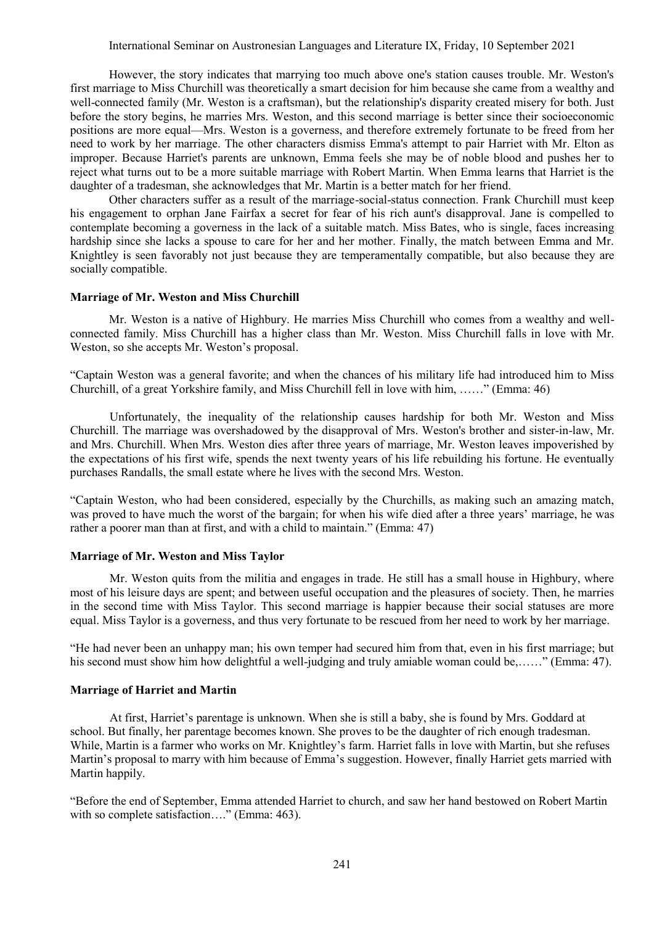International Seminar on Austronesian Languages and Literature IX, Friday, 10 September 2021

However, the story indicates that marrying too much above one's station causes trouble. Mr. Weston's first marriage to Miss Churchill was theoretically a smart decision for him because she came from a wealthy and well-connected family (Mr. Weston is a craftsman), but the relationship's disparity created misery for both. Just before the story begins, he marries Mrs. Weston, and this second marriage is better since their socioeconomic positions are more equal—Mrs. Weston is a governess, and therefore extremely fortunate to be freed from her need to work by her marriage. The other characters dismiss Emma's attempt to pair Harriet with Mr. Elton as improper. Because Harriet's parents are unknown, Emma feels she may be of noble blood and pushes her to reject what turns out to be a more suitable marriage with Robert Martin. When Emma learns that Harriet is the daughter of a tradesman, she acknowledges that Mr. Martin is a better match for her friend.

Other characters suffer as a result of the marriage-social-status connection. Frank Churchill must keep his engagement to orphan Jane Fairfax a secret for fear of his rich aunt's disapproval. Jane is compelled to contemplate becoming a governess in the lack of a suitable match. Miss Bates, who is single, faces increasing hardship since she lacks a spouse to care for her and her mother. Finally, the match between Emma and Mr. Knightley is seen favorably not just because they are temperamentally compatible, but also because they are socially compatible.

#### **Marriage of Mr. Weston and Miss Churchill**

Mr. Weston is a native of Highbury. He marries Miss Churchill who comes from a wealthy and wellconnected family. Miss Churchill has a higher class than Mr. Weston. Miss Churchill falls in love with Mr. Weston, so she accepts Mr. Weston's proposal.

"Captain Weston was a general favorite; and when the chances of his military life had introduced him to Miss Churchill, of a great Yorkshire family, and Miss Churchill fell in love with him, ……" (Emma: 46)

Unfortunately, the inequality of the relationship causes hardship for both Mr. Weston and Miss Churchill. The marriage was overshadowed by the disapproval of Mrs. Weston's brother and sister-in-law, Mr. and Mrs. Churchill. When Mrs. Weston dies after three years of marriage, Mr. Weston leaves impoverished by the expectations of his first wife, spends the next twenty years of his life rebuilding his fortune. He eventually purchases Randalls, the small estate where he lives with the second Mrs. Weston.

"Captain Weston, who had been considered, especially by the Churchills, as making such an amazing match, was proved to have much the worst of the bargain; for when his wife died after a three years' marriage, he was rather a poorer man than at first, and with a child to maintain." (Emma: 47)

#### **Marriage of Mr. Weston and Miss Taylor**

Mr. Weston quits from the militia and engages in trade. He still has a small house in Highbury, where most of his leisure days are spent; and between useful occupation and the pleasures of society. Then, he marries in the second time with Miss Taylor. This second marriage is happier because their social statuses are more equal. Miss Taylor is a governess, and thus very fortunate to be rescued from her need to work by her marriage.

"He had never been an unhappy man; his own temper had secured him from that, even in his first marriage; but his second must show him how delightful a well-judging and truly amiable woman could be,......" (Emma: 47).

#### **Marriage of Harriet and Martin**

At first, Harriet's parentage is unknown. When she is still a baby, she is found by Mrs. Goddard at school. But finally, her parentage becomes known. She proves to be the daughter of rich enough tradesman. While, Martin is a farmer who works on Mr. Knightley's farm. Harriet falls in love with Martin, but she refuses Martin's proposal to marry with him because of Emma's suggestion. However, finally Harriet gets married with Martin happily.

"Before the end of September, Emma attended Harriet to church, and saw her hand bestowed on Robert Martin with so complete satisfaction...." (Emma: 463).